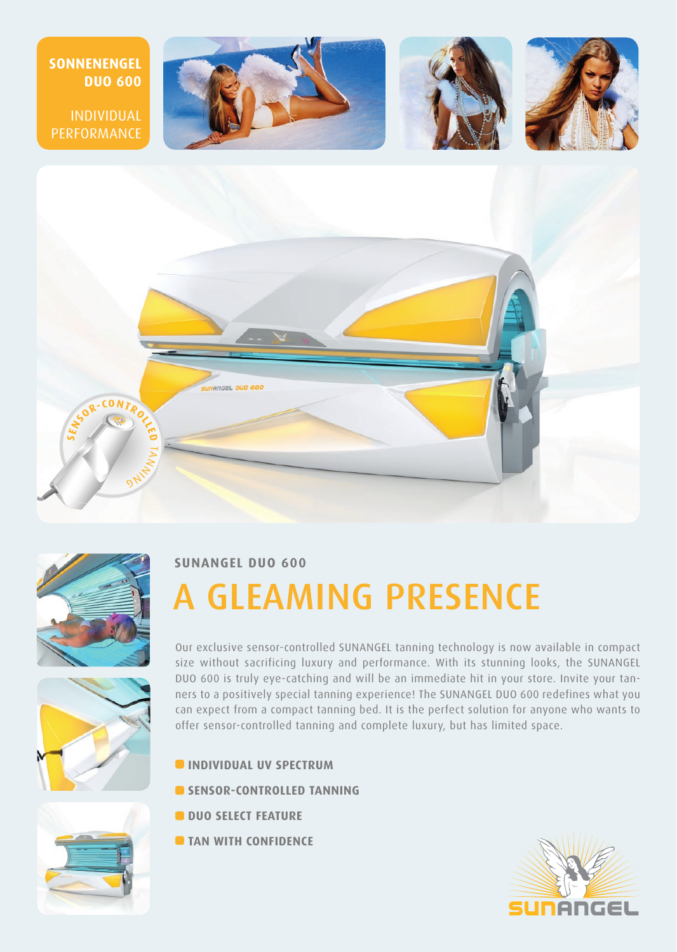



## **SUNANGEL DUO 600**

# A GLEAMING PRESENCE



Our exclusive sensor-controlled SUNANGEL tanning technology is now available in compact size without sacrificing luxury and performance. With its stunning looks, the SUNANGEL DUO 600 is truly eye-catching and will be an immediate hit in your store. Invite your tanners to a positively special tanning experience! The SUNANGEL DUO 600 redefines what you can expect from a compact tanning bed. It is the perfect solution for anyone who wants to offer sensor-controlled tanning and complete luxury, but has limited space.

- **INDIVIDUAL UV SPECTRUM**
- **SENSOR-CONTROLLED TANNING**
- **C** DUO SELECT FEATURE
- **TAN WITH CONFIDENCE**